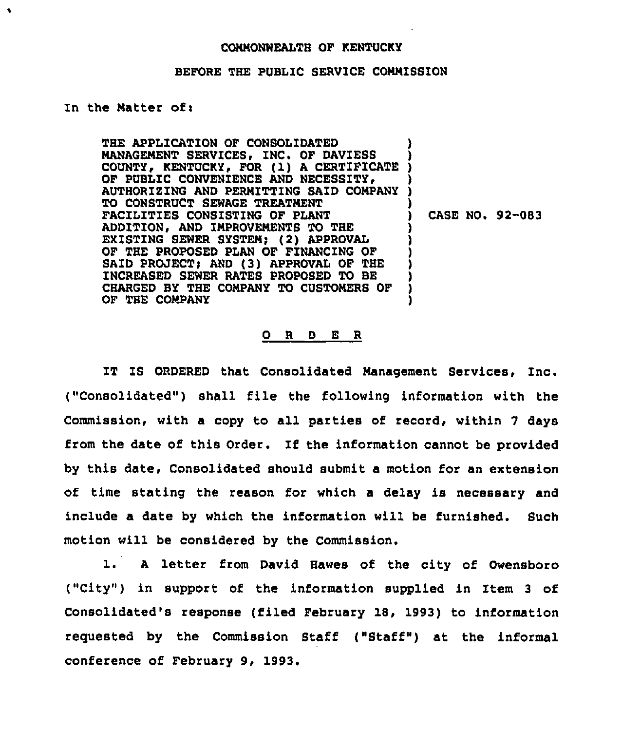## COMMONWEALTH OF KENTUCKY

## BEFORE THE PUBLIC SERVICE COMMISSION

## In the Matter of:

 $\bullet$ 

THE APPLICATION OF CONSOLIDATED MANAGEMENT SERVICES, INC. OF DAVIESS MANAGEMENT SERVICES, INC. OF DAVIESS )<br>COUNTY, KENTUCKY, FOR (1) A CERTIFICATE )<br>om nuniis conumutance in improgram OF PUBLIC CONVENIENCE AND NECESSITY, AUTHORIZING AND PERMITTING SAID COMPANY ) TO CONSTRUCT SEWAGE TREATMENT FACILITIES CONSISTING OF PLANT ADDITION, AND IMPROVEMENTS TO THE EXISTING SEWER SYSTEM; (2) APPROVAL OF THE PROPOSED PLAN OF FINANCING OF SAID PROJECT) AND (3) APPROVAL OF THE INCREASED SEWER RATES PROPOSED TO BE CHARGED BY THE COMPANY TO CUSTOMERS OF OF THE COMPANY ) ) ) ) ) ) ) ) ) ) )

) CASE NO. 92-083

## 0 <sup>R</sup> <sup>D</sup> E <sup>R</sup>

IT IS ORDERED that Consolidated Management Services, Inc. ("Consolidated") shall file the following information with the Commission, with a copy to all parties of record, within <sup>7</sup> days from the date of this Order. If the information cannot be provided by this date, Consolidated should submit a motion for an extension of time stating the reason for which a delay is necessary and include a date by which the information will be furnished. Such motion will be considered by the Commission.

l. <sup>A</sup> letter from David Hawes of the city of Owensboro ("City") in support of the information supplied in Item 3 of Consolidated's response (filed February 18, 1993) to information requested by the Commission Staff ("Staff") at the informal conference of February 9, 1993.